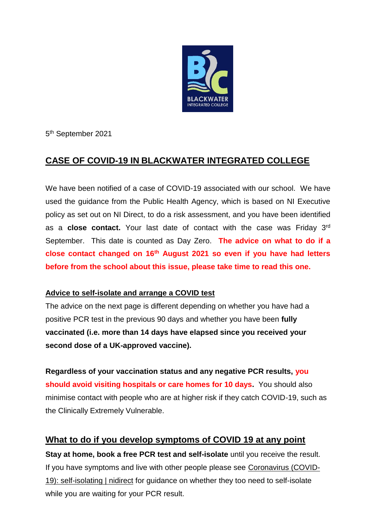

5 th September 2021

# **CASE OF COVID-19 IN BLACKWATER INTEGRATED COLLEGE**

We have been notified of a case of COVID-19 associated with our school. We have used the guidance from the Public Health Agency, which is based on NI Executive policy as set out on NI Direct, to do a risk assessment, and you have been identified as a **close contact.** Your last date of contact with the case was Friday 3rd September. This date is counted as Day Zero. **The advice on what to do if a close contact changed on 16th August 2021 so even if you have had letters before from the school about this issue, please take time to read this one.**

### **Advice to self-isolate and arrange a COVID test**

The advice on the next page is different depending on whether you have had a positive PCR test in the previous 90 days and whether you have been **fully vaccinated (i.e. more than 14 days have elapsed since you received your second dose of a UK-approved vaccine).** 

**Regardless of your vaccination status and any negative PCR results, you should avoid visiting hospitals or care homes for 10 days.** You should also minimise contact with people who are at higher risk if they catch COVID-19, such as the Clinically Extremely Vulnerable.

## **What to do if you develop symptoms of COVID 19 at any point**

**Stay at home, book a free PCR test and self-isolate** until you receive the result. If you have symptoms and live with other people please see [Coronavirus \(COVID-](https://www.nidirect.gov.uk/articles/coronavirus-covid-19-self-isolating)[19\): self-isolating | nidirect](https://www.nidirect.gov.uk/articles/coronavirus-covid-19-self-isolating) for guidance on whether they too need to self-isolate while you are waiting for your PCR result.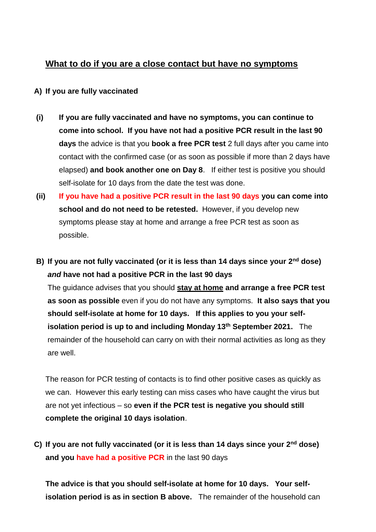### **What to do if you are a close contact but have no symptoms**

#### **A) If you are fully vaccinated**

- **(i) If you are fully vaccinated and have no symptoms, you can continue to come into school. If you have not had a positive PCR result in the last 90 days** the advice is that you **book a free PCR test** 2 full days after you came into contact with the confirmed case (or as soon as possible if more than 2 days have elapsed) **and book another one on Day 8**. If either test is positive you should self-isolate for 10 days from the date the test was done.
- **(ii) If you have had a positive PCR result in the last 90 days you can come into school and do not need to be retested.** However, if you develop new symptoms please stay at home and arrange a free PCR test as soon as possible.
- **B) If you are not fully vaccinated (or it is less than 14 days since your 2nd dose)** *and* **have not had a positive PCR in the last 90 days** The guidance advises that you should **stay at home and arrange a free PCR test as soon as possible** even if you do not have any symptoms. **It also says that you should self-isolate at home for 10 days. If this applies to you your selfisolation period is up to and including Monday 13th September 2021.** The remainder of the household can carry on with their normal activities as long as they are well.

The reason for PCR testing of contacts is to find other positive cases as quickly as we can. However this early testing can miss cases who have caught the virus but are not yet infectious – so **even if the PCR test is negative you should still complete the original 10 days isolation**.

**C) If you are not fully vaccinated (or it is less than 14 days since your 2nd dose) and you have had a positive PCR** in the last 90 days

**The advice is that you should self-isolate at home for 10 days. Your selfisolation period is as in section B above.** The remainder of the household can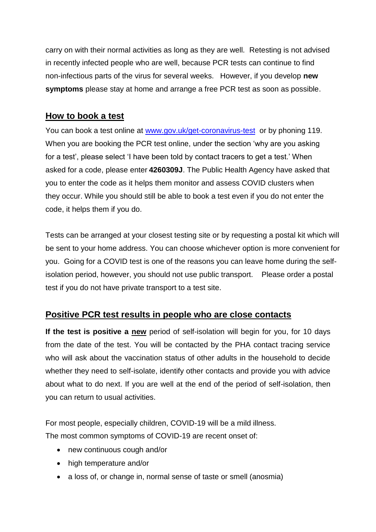carry on with their normal activities as long as they are well. Retesting is not advised in recently infected people who are well, because PCR tests can continue to find non-infectious parts of the virus for several weeks. However, if you develop **new symptoms** please stay at home and arrange a free PCR test as soon as possible.

### **How to book a test**

You can book a test online at [www.gov.uk/get-coronavirus-test](http://www.gov.uk/get-coronavirus-test) or by phoning 119. When you are booking the PCR test online, under the section 'why are you asking for a test', please select 'I have been told by contact tracers to get a test.' When asked for a code, please enter **4260309J**. The Public Health Agency have asked that you to enter the code as it helps them monitor and assess COVID clusters when they occur. While you should still be able to book a test even if you do not enter the code, it helps them if you do.

Tests can be arranged at your closest testing site or by requesting a postal kit which will be sent to your home address. You can choose whichever option is more convenient for you. Going for a COVID test is one of the reasons you can leave home during the selfisolation period, however, you should not use public transport. Please order a postal test if you do not have private transport to a test site.

## **Positive PCR test results in people who are close contacts**

**If the test is positive a new** period of self-isolation will begin for you, for 10 days from the date of the test. You will be contacted by the PHA contact tracing service who will ask about the vaccination status of other adults in the household to decide whether they need to self-isolate, identify other contacts and provide you with advice about what to do next. If you are well at the end of the period of self-isolation, then you can return to usual activities.

For most people, especially children, COVID-19 will be a mild illness. The most common symptoms of COVID-19 are recent onset of:

- new continuous cough and/or
- high temperature and/or
- a loss of, or change in, normal sense of taste or smell (anosmia)